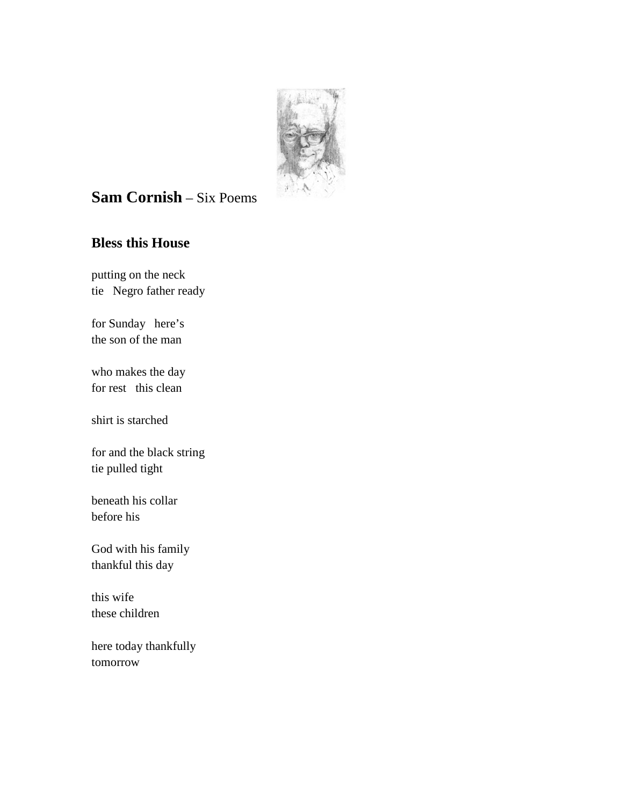

# **Sam Cornish** – Six Poems

## **Bless this House**

putting on the neck tie Negro father ready

for Sunday here's the son of the man

who makes the day for rest this clean

shirt is starched

for and the black string tie pulled tight

beneath his collar before his

God with his family thankful this day

this wife these children

here today thankfully tomorrow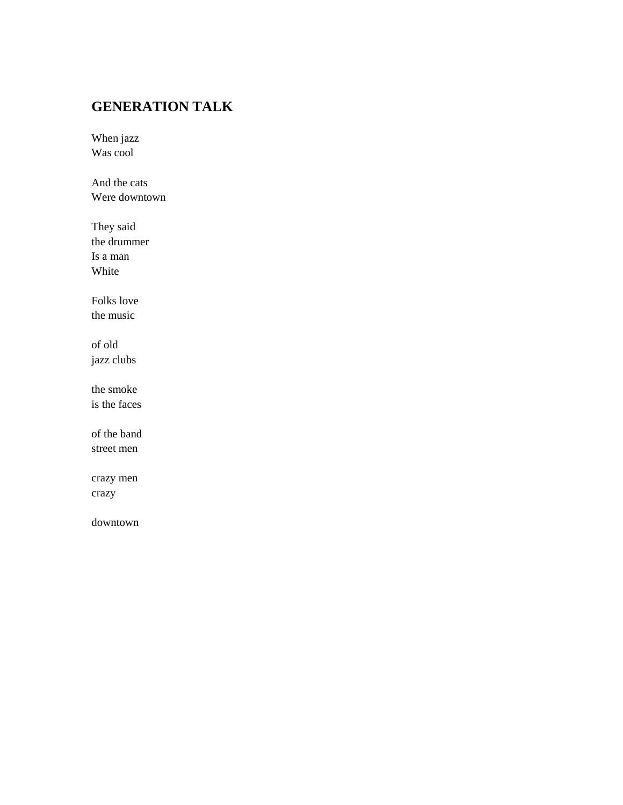## **GENERATION TALK**

When jazz Was cool

And the cats Were downtown

They said the drummer Is a man White

Folks love the music

of old jazz clubs

the smoke is the faces

of the band street men

crazy men crazy

downtown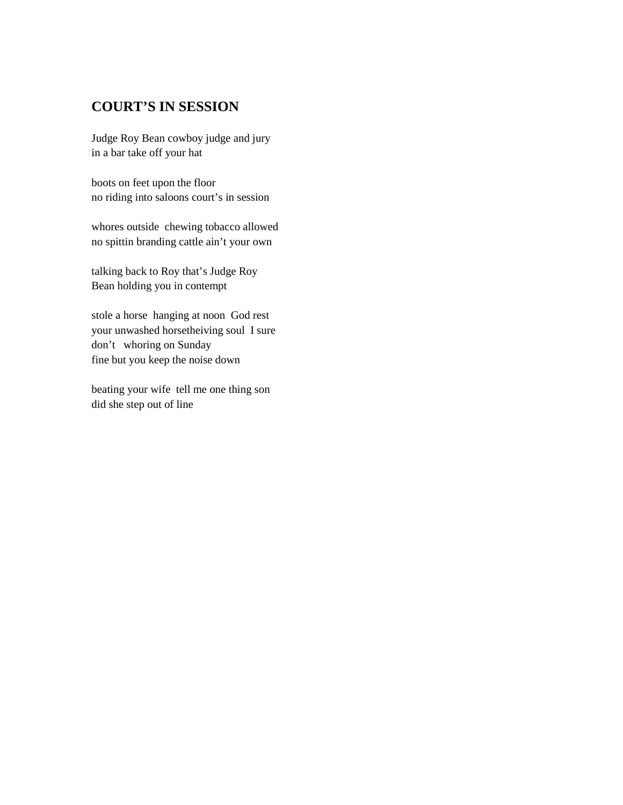#### **COURT'S IN SESSION**

Judge Roy Bean cowboy judge and jury in a bar take off your hat

boots on feet upon the floor no riding into saloons court's in session

whores outside chewing tobacco allowed no spittin branding cattle ain't your own

talking back to Roy that's Judge Roy Bean holding you in contempt

stole a horse hanging at noon God rest your unwashed horsetheiving soul I sure don't whoring on Sunday fine but you keep the noise down

beating your wife tell me one thing son did she step out of line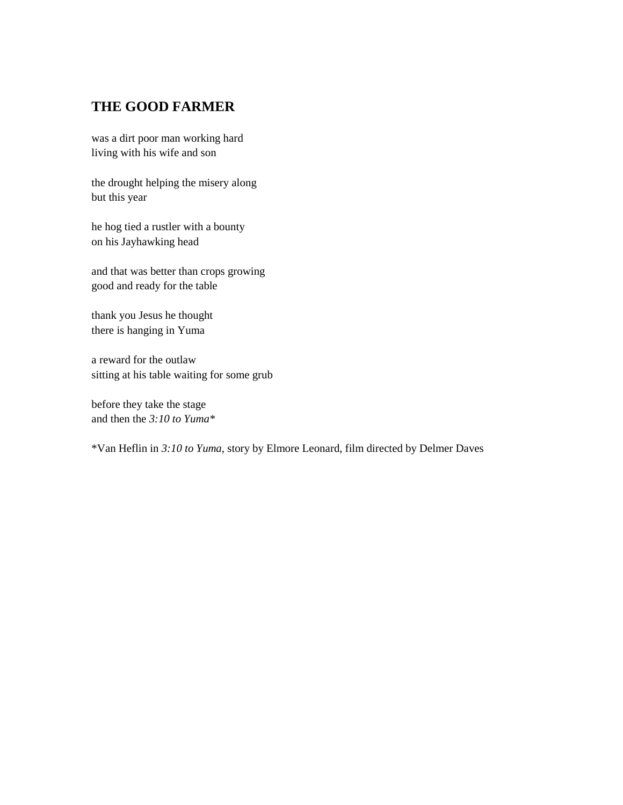#### **THE GOOD FARMER**

was a dirt poor man working hard living with his wife and son

the drought helping the misery along but this year

he hog tied a rustler with a bounty on his Jayhawking head

and that was better than crops growing good and ready for the table

thank you Jesus he thought there is hanging in Yuma

a reward for the outlaw sitting at his table waiting for some grub

before they take the stage and then the *3:10 to Yuma\**

\*Van Heflin in *3:10 to Yuma*, story by Elmore Leonard, film directed by Delmer Daves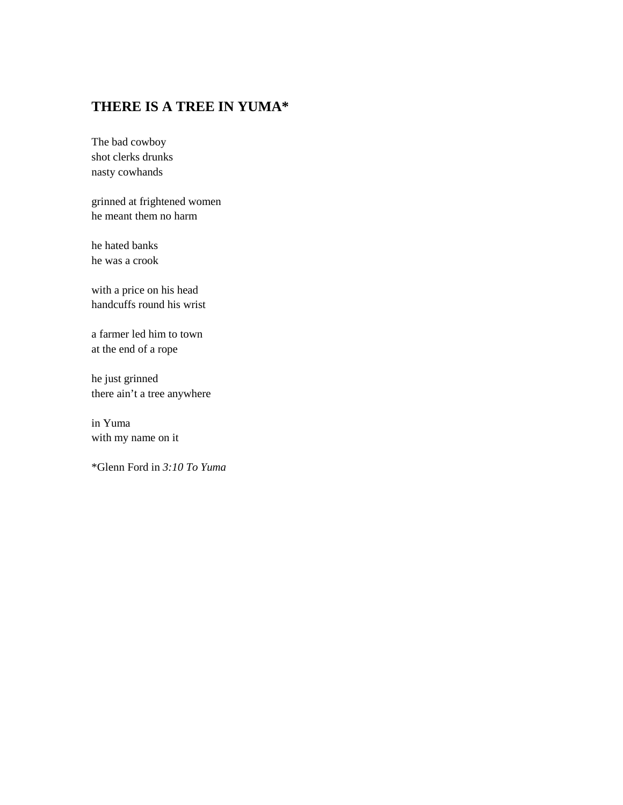### **THERE IS A TREE IN YUMA\***

The bad cowboy shot clerks drunks nasty cowhands

grinned at frightened women he meant them no harm

he hated banks he was a crook

with a price on his head handcuffs round his wrist

a farmer led him to town at the end of a rope

he just grinned there ain't a tree anywhere

in Yuma with my name on it

\*Glenn Ford in *3:10 To Yuma*